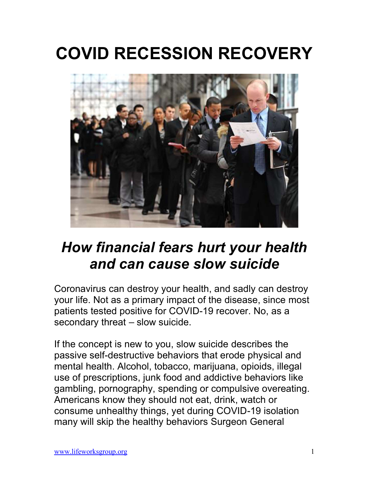# COVID RECESSION RECOVERY



# How financial fears hurt your health and can cause slow suicide

Coronavirus can destroy your health, and sadly can destroy your life. Not as a primary impact of the disease, since most patients tested positive for COVID-19 recover. No, as a secondary threat  $-$  slow suicide.

If the concept is new to you, slow suicide describes the passive self-destructive behaviors that erode physical and mental health. Alcohol, tobacco, marijuana, opioids, illegal use of prescriptions, junk food and addictive behaviors like gambling, pornography, spending or compulsive overeating. Americans know they should not eat, drink, watch or consume unhealthy things, yet during COVID-19 isolation many will skip the healthy behaviors Surgeon General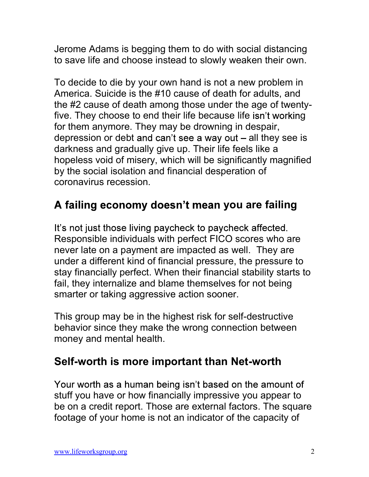Jerome Adams is begging them to do with social distancing to save life and choose instead to slowly weaken their own.

To decide to die by your own hand is not a new problem in America. Suicide is the #10 cause of death for adults, and the #2 cause of death among those under the age of twentyfive. They choose to end their life because life isn't working for them anymore. They may be drowning in despair, depression or debt and can't see a way out  $-$  all they see is darkness and gradually give up. Their life feels like a hopeless void of misery, which will be significantly magnified by the social isolation and financial desperation of coronavirus recession.

# A failing economy doesn't mean you are failing

It's not just those living paycheck to paycheck affected. Responsible individuals with perfect FICO scores who are never late on a payment are impacted as well. They are under a different kind of financial pressure, the pressure to stay financially perfect. When their financial stability starts to fail, they internalize and blame themselves for not being smarter or taking aggressive action sooner.

This group may be in the highest risk for self-destructive behavior since they make the wrong connection between money and mental health.

## Self-worth is more important than Net-worth

Your worth as a human being isn't based on the amount of stuff you have or how financially impressive you appear to be on a credit report. Those are external factors. The square footage of your home is not an indicator of the capacity of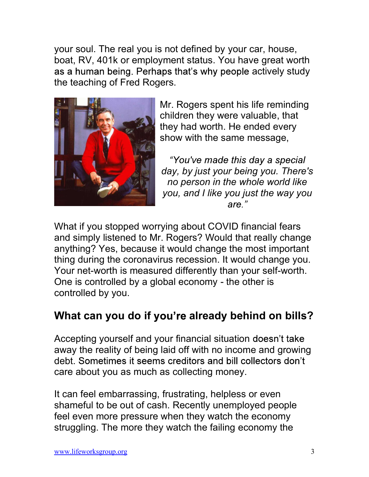your soul. The real you is not defined by your car, house, boat, RV, 401k or employment status. You have great worth as a human being. Perhaps that's why people actively study the teaching of Fred Rogers.



Mr. Rogers spent his life reminding children they were valuable, that they had worth. He ended every show with the same message,

"You've made this day a special day, by just your being you. There's no person in the whole world like you, and I like you just the way you are."

What if you stopped worrying about COVID financial fears and simply listened to Mr. Rogers? Would that really change anything? Yes, because it would change the most important thing during the coronavirus recession. It would change you. Your net-worth is measured differently than your self-worth. One is controlled by a global economy - the other is controlled by you.

## What can you do if you're already behind on bills?

Accepting yourself and your financial situation doesn't take away the reality of being laid off with no income and growing debt. Sometimes it seems creditors and bill collectors don't care about you as much as collecting money.

It can feel embarrassing, frustrating, helpless or even shameful to be out of cash. Recently unemployed people feel even more pressure when they watch the economy struggling. The more they watch the failing economy the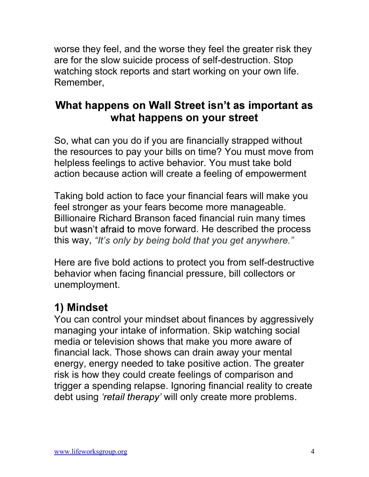worse they feel, and the worse they feel the greater risk they are for the slow suicide process of self-destruction. Stop watching stock reports and start working on your own life. Remember,

## What happens on Wall Street isn't as important as what happens on your street

So, what can you do if you are financially strapped without the resources to pay your bills on time? You must move from helpless feelings to active behavior. You must take bold action because action will create a feeling of empowerment

Taking bold action to face your financial fears will make you feel stronger as your fears become more manageable. Billionaire Richard Branson faced financial ruin many times but wasn't afraid to move forward. He described the process this way, "It's only by being bold that you get anywhere."

Here are five bold actions to protect you from self-destructive behavior when facing financial pressure, bill collectors or unemployment.

## 1) Mindset

You can control your mindset about finances by aggressively managing your intake of information. Skip watching social media or television shows that make you more aware of financial lack. Those shows can drain away your mental energy, energy needed to take positive action. The greater risk is how they could create feelings of comparison and trigger a spending relapse. Ignoring financial reality to create debt using 'retail therapy' will only create more problems.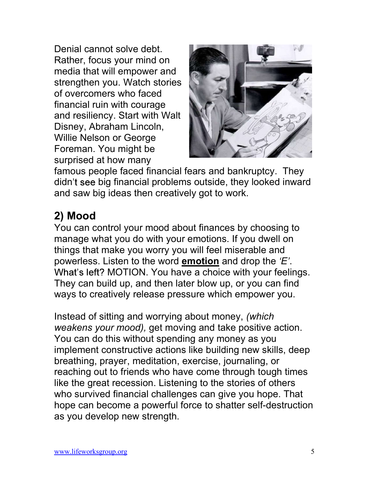Denial cannot solve debt. Rather, focus your mind on media that will empower and strengthen you. Watch stories of overcomers who faced financial ruin with courage and resiliency. Start with Walt Disney, Abraham Lincoln, Willie Nelson or George Foreman. You might be surprised at how many



famous people faced financial fears and bankruptcy. They didn't see big financial problems outside, they looked inward and saw big ideas then creatively got to work.

# 2) Mood

You can control your mood about finances by choosing to manage what you do with your emotions. If you dwell on things that make you worry you will feel miserable and powerless. Listen to the word **emotion** and drop the *'E'*.<br>What's left? MOTION. You have a choice with your feelings. They can build up, and then later blow up, or you can find ways to creatively release pressure which empower you.

Instead of sitting and worrying about money, (which weakens your mood), get moving and take positive action. You can do this without spending any money as you implement constructive actions like building new skills, deep breathing, prayer, meditation, exercise, journaling, or reaching out to friends who have come through tough times like the great recession. Listening to the stories of others who survived financial challenges can give you hope. That hope can become a powerful force to shatter self-destruction as you develop new strength.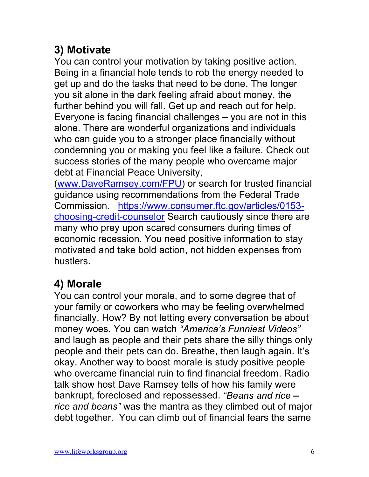# 3) Motivate

You can control your motivation by taking positive action. Being in a financial hole tends to rob the energy needed to get up and do the tasks that need to be done. The longer you sit alone in the dark feeling afraid about money, the further behind you will fall. Get up and reach out for help. Everyone is facing financial challenges  $-$  you are not in this alone. There are wonderful organizations and individuals who can guide you to a stronger place financially without condemning you or making you feel like a failure. Check out success stories of the many people who overcame major debt at Financial Peace University,

(www.DaveRamsey.com/FPU) or search for trusted financial guidance using recommendations from the Federal Trade Commission. https://www.consumer.ftc.gov/articles/0153 choosing-credit-counselor Search cautiously since there are many who prey upon scared consumers during times of economic recession. You need positive information to stay motivated and take bold action, not hidden expenses from hustlers.

# 4) Morale

You can control your morale, and to some degree that of your family or coworkers who may be feeling overwhelmed financially. How? By not letting every conversation be about money woes. You can watch "America's Funniest Videos" and laugh as people and their pets share the silly things only people and their pets can do. Breathe, then laugh again. It okay. Another way to boost morale is study positive people who overcame financial ruin to find financial freedom. Radio talk show host Dave Ramsey tells of how his family were bankrupt, foreclosed and repossessed. "Beans and rice rice and beans" was the mantra as they climbed out of major debt together. You can climb out of financial fears the same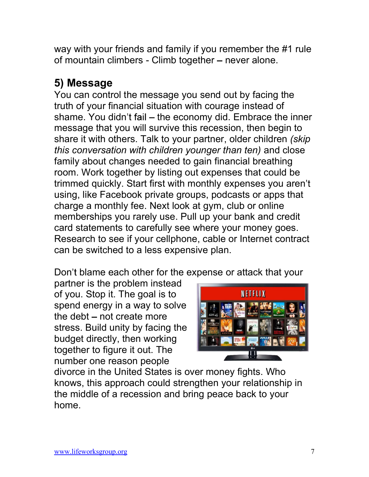way with your friends and family if you remember the #1 rule of mountain climbers - Climb together – never alone.

# 5) Message

You can control the message you send out by facing the truth of your financial situation with courage instead of shame. You didn't fail  $-$  the economy did. Embrace the inner message that you will survive this recession, then begin to share it with others. Talk to your partner, older children (skip this conversation with children younger than ten) and close family about changes needed to gain financial breathing room. Work together by listing out expenses that could be trimmed quickly. Start first with monthly expenses you aren using, like Facebook private groups, podcasts or apps that charge a monthly fee. Next look at gym, club or online memberships you rarely use. Pull up your bank and credit card statements to carefully see where your money goes. Research to see if your cellphone, cable or Internet contract can be switched to a less expensive plan.

Don't blame each other for the expense or attack that your

partner is the problem instead of you. Stop it. The goal is to spend energy in a way to solve the debt  $-$  not create more stress. Build unity by facing the budget directly, then working together to figure it out. The number one reason people



divorce in the United States is over money fights. Who knows, this approach could strengthen your relationship in the middle of a recession and bring peace back to your home.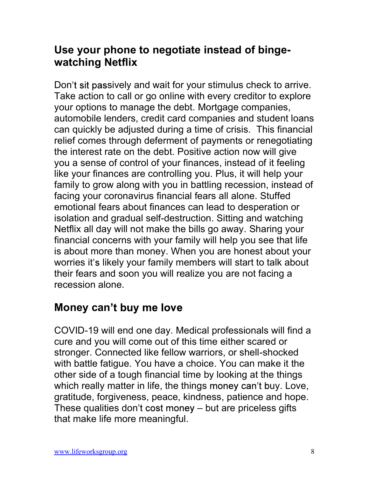#### Use your phone to negotiate instead of bingewatching Netflix

Don't sit passively and wait for your stimulus check to arrive. Take action to call or go online with every creditor to explore your options to manage the debt. Mortgage companies, automobile lenders, credit card companies and student loans can quickly be adjusted during a time of crisis. This financial relief comes through deferment of payments or renegotiating the interest rate on the debt. Positive action now will give you a sense of control of your finances, instead of it feeling like your finances are controlling you. Plus, it will help your family to grow along with you in battling recession, instead of facing your coronavirus financial fears all alone. Stuffed emotional fears about finances can lead to desperation or isolation and gradual self-destruction. Sitting and watching Netflix all day will not make the bills go away. Sharing your financial concerns with your family will help you see that life is about more than money. When you are honest about your worries it's likely your family members will start to talk about their fears and soon you will realize you are not facing a recession alone.

#### Money can't buy me love

COVID-19 will end one day. Medical professionals will find a cure and you will come out of this time either scared or stronger. Connected like fellow warriors, or shell-shocked with battle fatigue. You have a choice. You can make it the other side of a tough financial time by looking at the things which really matter in life, the things money can't buy. Love, gratitude, forgiveness, peace, kindness, patience and hope. These qualities don't cost money  $-$  but are priceless gifts that make life more meaningful.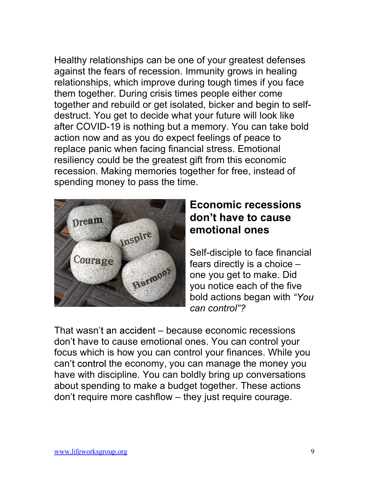Healthy relationships can be one of your greatest defenses against the fears of recession. Immunity grows in healing relationships, which improve during tough times if you face them together. During crisis times people either come together and rebuild or get isolated, bicker and begin to selfdestruct. You get to decide what your future will look like after COVID-19 is nothing but a memory. You can take bold action now and as you do expect feelings of peace to replace panic when facing financial stress. Emotional resiliency could be the greatest gift from this economic recession. Making memories together for free, instead of spending money to pass the time.



#### Economic recessions don't have to cause emotional ones

Self-disciple to face financial fears directly is a choice one you get to make. Did you notice each of the five bold actions began with "You can control"?

That wasn't an accident – because economic recessions don't have to cause emotional ones. You can control your focus which is how you can control your finances. While you can't control the economy, you can manage the money you have with discipline. You can boldly bring up conversations about spending to make a budget together. These actions don't require more cashflow  $-$  they just require courage.